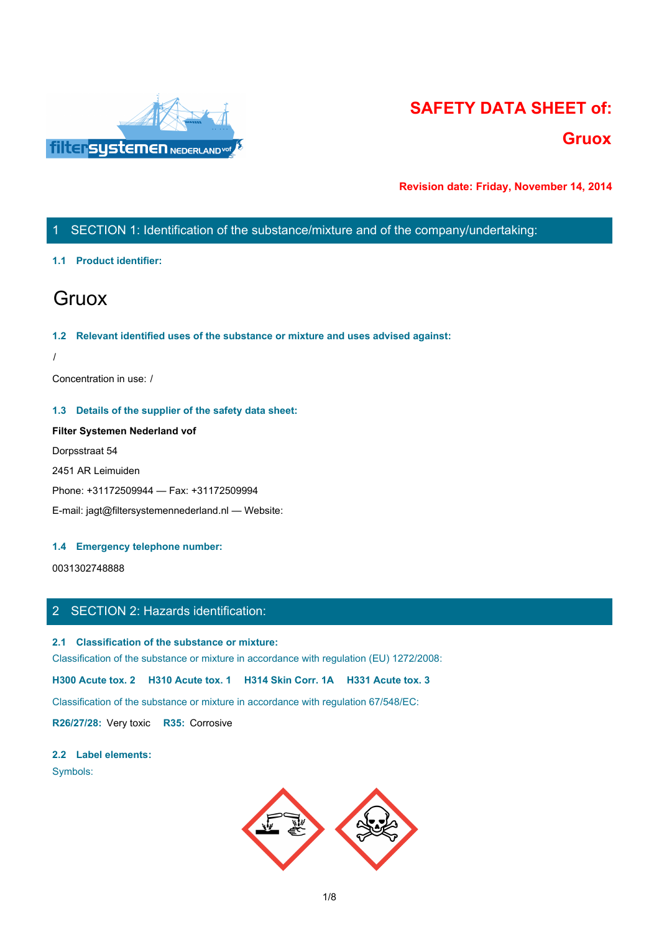

# **SAFETY DATA SHEET of: Gruox**

**Revision date: Friday, November 14, 2014**

# 1 SECTION 1: Identification of the substance/mixture and of the company/undertaking:

# **1.1 Product identifier:**

# **Gruox Gruox Gruox Gruox Gruox Gruox Gruox Gruox Gruox Gruox Gruox Gruox Gruox Gruox Gruox Gruox Gruox Gruox Gruox Gruox Gruox Gruox Gruox Gruox Gruox Gruox Gruox Gruox**

## **1.2 Relevant identified uses of the substance or mixture and uses advised against:**

/

Concentration in use: /

# **1.3 Details of the supplier of the safety data sheet:**

**Filter Systemen Nederland vof** Dorpsstraat 54 2451 AR Leimuiden Phone: +31172509944 — Fax: +31172509994 E-mail: jagt@filtersystemennederland.nl — Website:

# **1.4 Emergency telephone number:**

0031302748888

# 2 SECTION 2: Hazards identification:

**2.1 Classification of the substance or mixture:**

Classification of the substance or mixture in accordance with regulation (EU) 1272/2008:

**H300 Acute tox. 2 H310 Acute tox. 1 H314 Skin Corr. 1A H331 Acute tox. 3**

Classification of the substance or mixture in accordance with regulation 67/548/EC:

**R26/27/28:** Very toxic **R35:** Corrosive

#### **2.2 Label elements:**

Symbols:

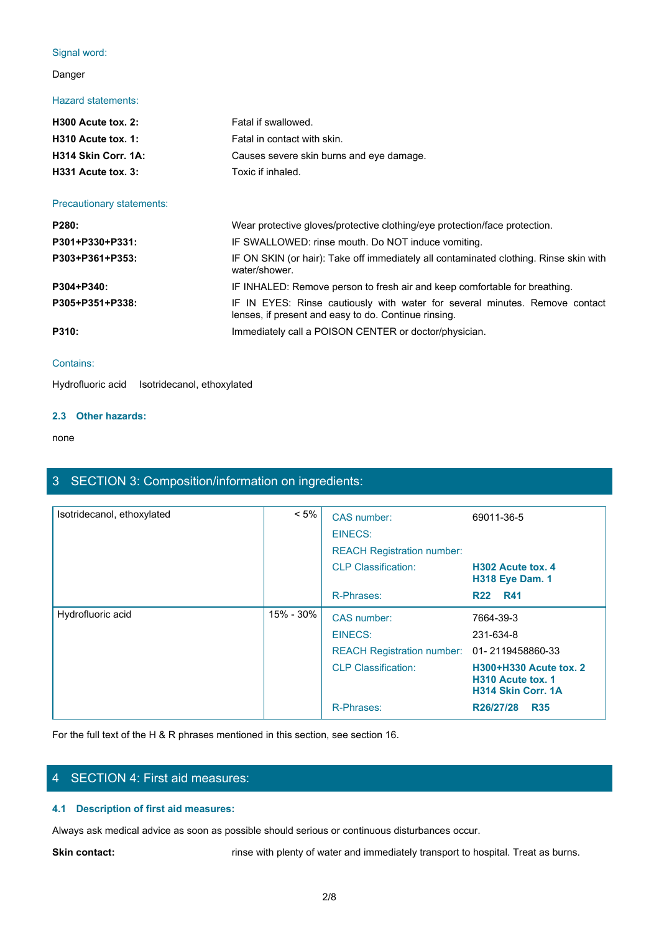# Signal word:

# Danger

# Hazard statements:

| $H300$ Acute tox. 2:       | Fatal if swallowed.                      |
|----------------------------|------------------------------------------|
| $H310$ Acute tox. 1:       | Fatal in contact with skin.              |
| <b>H314 Skin Corr. 1A:</b> | Causes severe skin burns and eye damage. |
| $H331$ Acute tox. 3:       | Toxic if inhaled.                        |
|                            |                                          |

## Precautionary statements:

| Signal word:                                |                                                                                                                                     |
|---------------------------------------------|-------------------------------------------------------------------------------------------------------------------------------------|
| Danger                                      |                                                                                                                                     |
| <b>Hazard statements:</b>                   |                                                                                                                                     |
| H300 Acute tox. 2:                          | Fatal if swallowed.                                                                                                                 |
| H310 Acute tox. 1:                          | Fatal in contact with skin.                                                                                                         |
| H314 Skin Corr. 1A:                         | Causes severe skin burns and eye damage.                                                                                            |
| H331 Acute tox. 3:                          | Toxic if inhaled.                                                                                                                   |
| Precautionary statements:                   |                                                                                                                                     |
| P280:                                       | Wear protective gloves/protective clothing/eye protection/face protection.                                                          |
| P301+P330+P331:                             | IF SWALLOWED: rinse mouth. Do NOT induce vomiting.                                                                                  |
| P303+P361+P353:                             | IF ON SKIN (or hair): Take off immediately all contaminated clothing. Rinse skin with<br>water/shower.                              |
| P304+P340:                                  | IF INHALED: Remove person to fresh air and keep comfortable for breathing.                                                          |
| P305+P351+P338:                             | IF IN EYES: Rinse cautiously with water for several minutes. Remove contact<br>lenses, if present and easy to do. Continue rinsing. |
| P310:                                       | Immediately call a POISON CENTER or doctor/physician.                                                                               |
| Contains:                                   |                                                                                                                                     |
| Hydrofluoric acid Isotridecanol ethoxylated |                                                                                                                                     |

#### Contains:

Hydrofluoric acid Isotridecanol, ethoxylated

# **2.3 Other hazards:**

#### none and the state of the state of the state of the state of the state of the state of the state of the state of the state of the state of the state of the state of the state of the state of the state of the state of the s

# 3 SECTION 3: Composition/information on ingredients:

| Isotridecanol, ethoxylated | $< 5\%$     | CAS number:                       | 69011-36-5                                                                                  |
|----------------------------|-------------|-----------------------------------|---------------------------------------------------------------------------------------------|
|                            |             | EINECS:                           |                                                                                             |
|                            |             | <b>REACH Registration number:</b> |                                                                                             |
|                            |             | <b>CLP Classification:</b>        | H302 Acute tox, 4<br><b>H318 Eye Dam. 1</b>                                                 |
|                            |             | R-Phrases:                        | R <sub>22</sub> R <sub>41</sub>                                                             |
| Hydrofluoric acid          | $15% - 30%$ | CAS number:                       | 7664-39-3                                                                                   |
|                            |             | EINECS:                           | 231-634-8                                                                                   |
|                            |             | <b>REACH Registration number:</b> | 01-2119458860-33                                                                            |
|                            |             | <b>CLP Classification:</b>        | <b>H300+H330 Acute tox. 2</b><br>H <sub>310</sub> Acute tox, 1<br><b>H314 Skin Corr. 1A</b> |
|                            |             | R-Phrases:                        | R26/27/28<br><b>R35</b>                                                                     |

For the full text of the H & R phrases mentioned in this section, see section 16.

# 4 SECTION 4: First aid measures:

# **4.1 Description of first aid measures:**

Always ask medical advice as soon as possible should serious or continuous disturbances occur.

Skin contact: **rinse with plenty of water and immediately transport to hospital. Treat as burns.**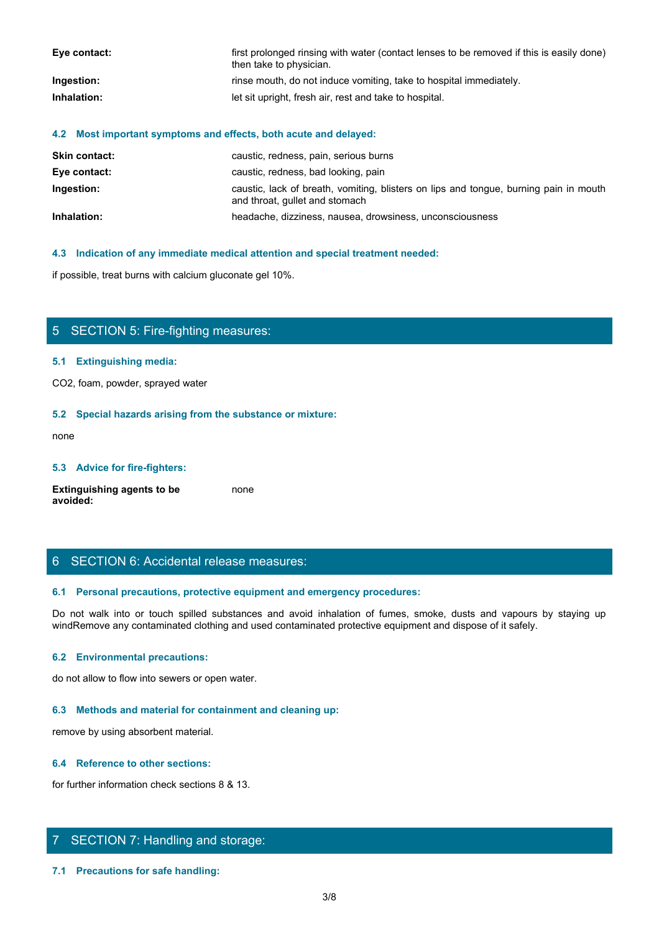| Eye contact: | first prolonged rinsing with water (contact lenses to be removed if this is easily done)<br>then take to physician. |
|--------------|---------------------------------------------------------------------------------------------------------------------|
| Ingestion:   | rinse mouth, do not induce vomiting, take to hospital immediately.                                                  |
| Inhalation:  | let sit upright, fresh air, rest and take to hospital.                                                              |

## **4.2 Most important symptoms and effects, both acute and delayed:**

| <b>Skin contact:</b> | caustic, redness, pain, serious burns                                                                                   |
|----------------------|-------------------------------------------------------------------------------------------------------------------------|
| Eye contact:         | caustic, redness, bad looking, pain                                                                                     |
| Ingestion:           | caustic, lack of breath, vomiting, blisters on lips and tongue, burning pain in mouth<br>and throat, gullet and stomach |
| Inhalation:          | headache, dizziness, nausea, drowsiness, unconsciousness                                                                |

#### **4.3 Indication of any immediate medical attention and special treatment needed:**

if possible, treat burns with calcium gluconate gel 10%.

# 5 SECTION 5: Fire-fighting measures:

## **5.1 Extinguishing media:**

CO2, foam, powder, sprayed water

#### **5.2 Special hazards arising from the substance or mixture:**

none and the state of the state of the state of the state of the state of the state of the state of the state of the state of the state of the state of the state of the state of the state of the state of the state of the s

# **5.3 Advice for fire-fighters:**

**Extinguishing agents to be avoided:** none and the state of the state of the state of the state of the state of the state of the state of the state of the state of the state of the state of the state of the state of the state of the state of the state of the s

# 6 SECTION 6: Accidental release measures:

## **6.1 Personal precautions, protective equipment and emergency procedures:**

d possible, treat burns with calcum gluconaire gel 10%.<br>
S. S. Ectinguishing media:<br>
CO2, foam, powder, sprayed waler<br>
S. S. Special hazards arising from the substance or mixture:<br>
are stated substances and walk into the f windRemove any contaminated clothing and used contaminated protective equipment and dispose of it safely.

#### **6.2 Environmental precautions:**

do not allow to flow into sewers or open water.

#### **6.3 Methods and material for containment and cleaning up:**

remove by using absorbent material.

#### **6.4 Reference to other sections:**

for further information check sections 8 & 13.

# 7 SECTION 7: Handling and storage:

**7.1 Precautions for safe handling:**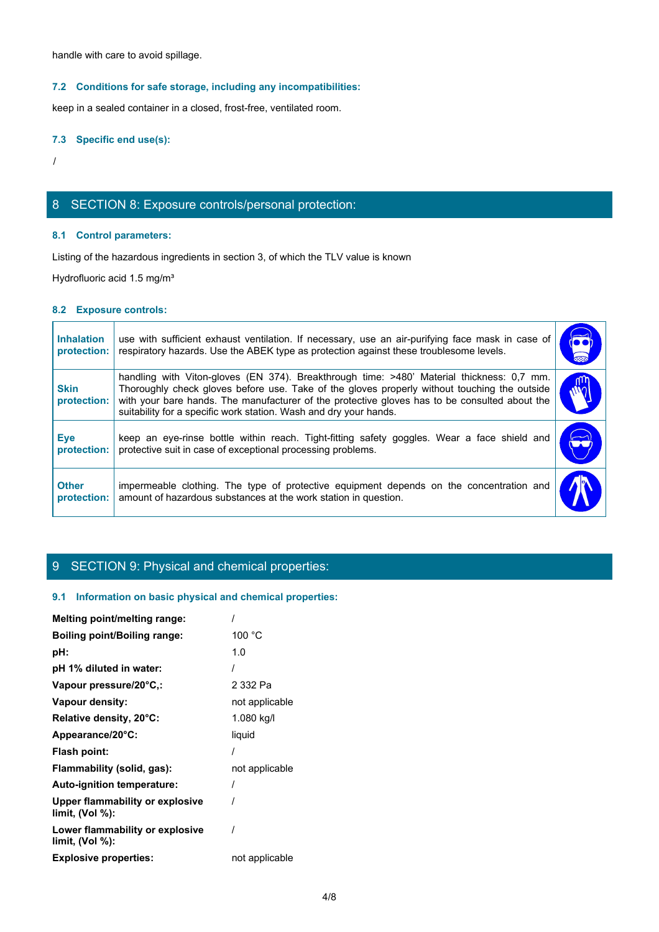# **7.2 Conditions for safe storage, including any incompatibilities:**

# **7.3 Specific end use(s):**

# 8 SECTION 8: Exposure controls/personal protection:

# **8.1 Control parameters:**

# **8.2 Exposure controls:**

|                                  | handle with care to avoid spillage.                                                                                                                                                                                                                                                                                                                             |                             |
|----------------------------------|-----------------------------------------------------------------------------------------------------------------------------------------------------------------------------------------------------------------------------------------------------------------------------------------------------------------------------------------------------------------|-----------------------------|
|                                  | 7.2 Conditions for safe storage, including any incompatibilities:                                                                                                                                                                                                                                                                                               |                             |
|                                  | keep in a sealed container in a closed, frost-free, ventilated room.                                                                                                                                                                                                                                                                                            |                             |
| 7.3 Specific end use(s):         |                                                                                                                                                                                                                                                                                                                                                                 |                             |
|                                  |                                                                                                                                                                                                                                                                                                                                                                 |                             |
|                                  | 8 SECTION 8: Exposure controls/personal protection:                                                                                                                                                                                                                                                                                                             |                             |
|                                  | 8.1 Control parameters:                                                                                                                                                                                                                                                                                                                                         |                             |
|                                  | Listing of the hazardous ingredients in section 3, of which the TLV value is known                                                                                                                                                                                                                                                                              |                             |
|                                  | Hydrofluoric acid 1.5 mg/m <sup>3</sup>                                                                                                                                                                                                                                                                                                                         |                             |
| 8.2 Exposure controls:           |                                                                                                                                                                                                                                                                                                                                                                 |                             |
| <b>Inhalation</b><br>protection: | use with sufficient exhaust ventilation. If necessary, use an air-purifying face mask in case of<br>respiratory hazards. Use the ABEK type as protection against these troublesome levels.                                                                                                                                                                      | $\overline{\bullet\bullet}$ |
| <b>Skin</b><br>protection:       | handling with Viton-gloves (EN 374). Breakthrough time: >480' Material thickness: 0,7 mm.<br>Thoroughly check gloves before use. Take of the gloves properly without touching the outside<br>with your bare hands. The manufacturer of the protective gloves has to be consulted about the<br>suitability for a specific work station. Wash and dry your hands. | W                           |
| <b>Eye</b><br>protection:        | keep an eye-rinse bottle within reach. Tight-fitting safety goggles. Wear a face shield and<br>protective suit in case of exceptional processing problems.                                                                                                                                                                                                      |                             |
| <b>Other</b><br>protection:      | impermeable clothing. The type of protective equipment depends on the concentration and<br>amount of hazardous substances at the work station in question.                                                                                                                                                                                                      |                             |

# 9 SECTION 9: Physical and chemical properties:

# **9.1 Information on basic physical and chemical properties:**

| Melting point/melting range:                          |                |
|-------------------------------------------------------|----------------|
| <b>Boiling point/Boiling range:</b>                   | 100 °C         |
| pH:                                                   | 1.0            |
| pH 1% diluted in water:                               |                |
| Vapour pressure/20°C,:                                | 2 332 Pa       |
| Vapour density:                                       | not applicable |
| Relative density, 20°C:                               | 1.080 kg/l     |
| Appearance/20°C:                                      | liquid         |
| Flash point:                                          |                |
| Flammability (solid, gas):                            | not applicable |
| Auto-ignition temperature:                            |                |
| Upper flammability or explosive<br>limit, $(Vol %)$ : |                |
| Lower flammability or explosive<br>limit, (Vol %):    |                |
| <b>Explosive properties:</b>                          | not applicable |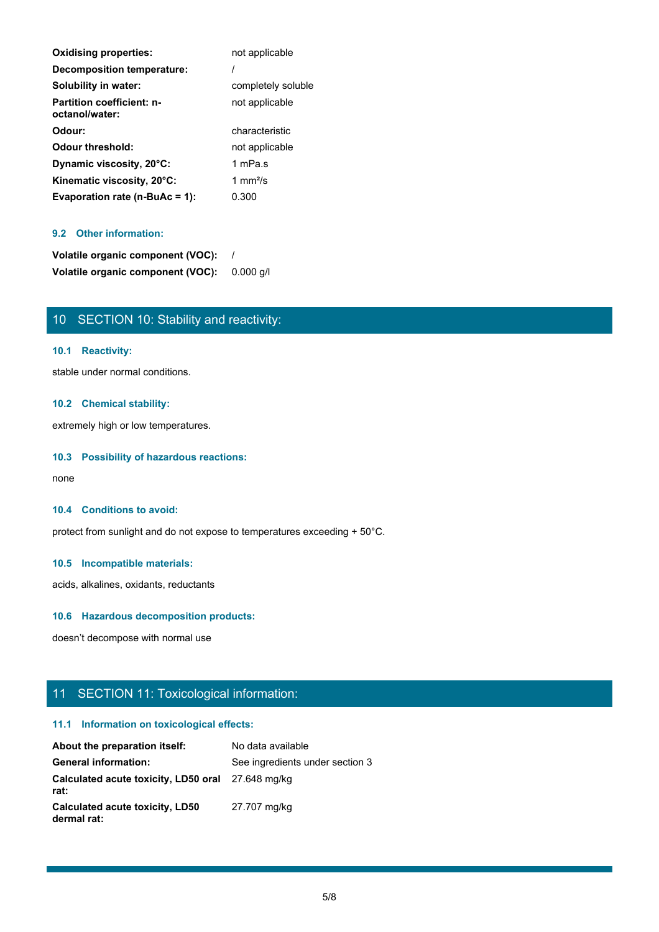| <b>Oxidising properties:</b>                       | not applicable            |
|----------------------------------------------------|---------------------------|
| Decomposition temperature:                         |                           |
| Solubility in water:                               | completely soluble        |
| <b>Partition coefficient: n-</b><br>octanol/water: | not applicable            |
| Odour:                                             | characteristic            |
| Odour threshold:                                   | not applicable            |
| Dynamic viscosity, 20°C:                           | 1 mPa.s                   |
| Kinematic viscosity, 20°C:                         | 1 mm $\frac{2}{\text{S}}$ |
| Evaporation rate ( $n$ -BuAc = 1):                 | 0.300                     |

# **9.2 Other information:**

| Volatile organic component (VOC): |           |
|-----------------------------------|-----------|
| Volatile organic component (VOC): | 0.000 a/l |

# 10 SECTION 10: Stability and reactivity:

# **10.1 Reactivity:**

stable under normal conditions.

# **10.2 Chemical stability:**

extremely high or low temperatures.

# **10.3 Possibility of hazardous reactions:**

none and the state of the state of the state of the state of the state of the state of the state of the state of the state of the state of the state of the state of the state of the state of the state of the state of the s

#### **10.4 Conditions to avoid:**

protect from sunlight and do not expose to temperatures exceeding + 50°C.

# **10.5 Incompatible materials:**

acids, alkalines, oxidants, reductants

# **10.6 Hazardous decomposition products:**

doesn't decompose with normal use

# 11 SECTION 11: Toxicological information:

# **11.1 Information on toxicological effects:**

| About the preparation itself:                             | No data available               |
|-----------------------------------------------------------|---------------------------------|
| <b>General information:</b>                               | See ingredients under section 3 |
| Calculated acute toxicity, LD50 oral 27.648 mg/kg<br>rat: |                                 |
| Calculated acute toxicity, LD50<br>dermal rat:            | 27.707 mg/kg                    |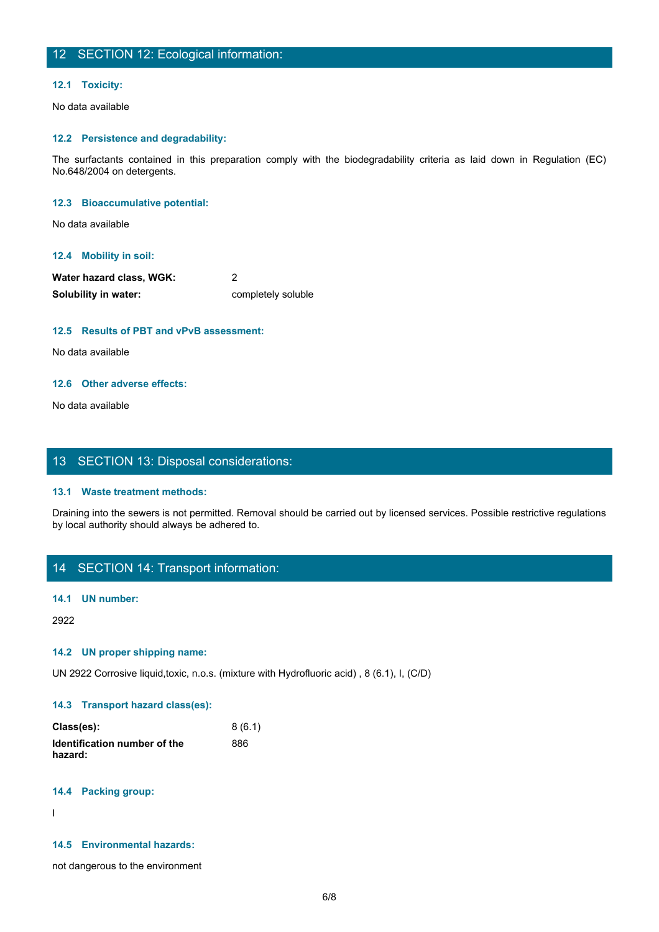# 12 SECTION 12: Ecological information:

#### **12.1 Toxicity:**

No data available

# **12.2 Persistence and degradability:**

The SECTION 12: Ecological information:<br>The surfactants contained in this preparation comply with the biodegradability criteria as laid down in Regulation (EC)<br>The surfactants contained in this preparation comply with the No.648/2004 on detergents.

#### **12.3 Bioaccumulative potential:**

No data available

## **12.4 Mobility in soil:**

| Water hazard class, WGK: |                    |
|--------------------------|--------------------|
| Solubility in water:     | completely soluble |

## **12.5 Results of PBT and vPvB assessment:**

No data available

## **12.6 Other adverse effects:**

No data available

# 13 SECTION 13: Disposal considerations:

#### **13.1 Waste treatment methods:**

Draining into the sewers is not permitted. Removal should be carried out by licensed services. Possible restrictive regulations by local authority should always be adhered to.

# 14 SECTION 14: Transport information:

#### **14.1 UN number:**

2922

#### **14.2 UN proper shipping name:**

UN 2922 Corrosive liquid,toxic, n.o.s. (mixture with Hydrofluoric acid) , 8 (6.1), I, (C/D)

#### **14.3 Transport hazard class(es):**

| Class(es):                   | 8(6.1) |
|------------------------------|--------|
| Identification number of the | 886    |
| hazard:                      |        |

#### **14.4 Packing group:**

In the contract of the contract of

#### **14.5 Environmental hazards:**

not dangerous to the environment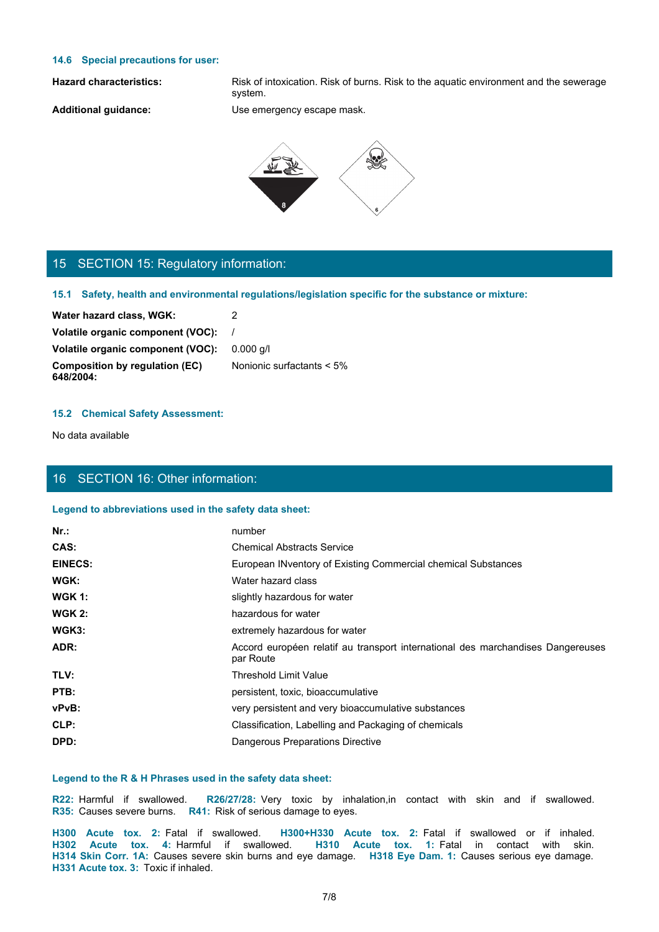## **14.6 Special precautions for user:**

Hazard characteristics: Risk of intoxication. Risk of burns. Risk to the aquatic environment and the sewerage system.

**Additional guidance:** Use emergency escape mask.



# 15 SECTION 15: Regulatory information:

**15.1 Safety, health and environmental regulations/legislation specific for the substance or mixture:**

| Water hazard class, WGK:                           |                              |
|----------------------------------------------------|------------------------------|
| Volatile organic component (VOC):                  |                              |
| Volatile organic component (VOC):                  | $0.000$ a/l                  |
| <b>Composition by regulation (EC)</b><br>648/2004: | Nonionic surfactants $< 5\%$ |

## **15.2 Chemical Safety Assessment:**

# 16 SECTION 16: Other information:

#### **Legend to abbreviations used in the safety data sheet:**

| Water hazard class, WGK:                                                                     | 2                                                                                                                                                                                                                                                                                                       |
|----------------------------------------------------------------------------------------------|---------------------------------------------------------------------------------------------------------------------------------------------------------------------------------------------------------------------------------------------------------------------------------------------------------|
| Volatile organic component (VOC):                                                            |                                                                                                                                                                                                                                                                                                         |
| Volatile organic component (VOC):                                                            | $0.000$ g/l                                                                                                                                                                                                                                                                                             |
| <b>Composition by regulation (EC)</b><br>648/2004:                                           | Nonionic surfactants < 5%                                                                                                                                                                                                                                                                               |
| <b>15.2 Chemical Safety Assessment:</b>                                                      |                                                                                                                                                                                                                                                                                                         |
| No data available                                                                            |                                                                                                                                                                                                                                                                                                         |
| 16 SECTION 16: Other information:                                                            |                                                                                                                                                                                                                                                                                                         |
| Legend to abbreviations used in the safety data sheet:                                       |                                                                                                                                                                                                                                                                                                         |
| $Nr.$ :                                                                                      | number                                                                                                                                                                                                                                                                                                  |
| CAS:                                                                                         | <b>Chemical Abstracts Service</b>                                                                                                                                                                                                                                                                       |
| <b>EINECS:</b>                                                                               | European INventory of Existing Commercial chemical Substances                                                                                                                                                                                                                                           |
| WGK:                                                                                         | Water hazard class                                                                                                                                                                                                                                                                                      |
| <b>WGK 1:</b>                                                                                | slightly hazardous for water                                                                                                                                                                                                                                                                            |
| <b>WGK 2:</b>                                                                                | hazardous for water                                                                                                                                                                                                                                                                                     |
| WGK3:                                                                                        | extremely hazardous for water                                                                                                                                                                                                                                                                           |
| ADR:                                                                                         | Accord européen relatif au transport international des marchandises Dangereuses<br>par Route                                                                                                                                                                                                            |
| TLV:                                                                                         | <b>Threshold Limit Value</b>                                                                                                                                                                                                                                                                            |
| PTB:                                                                                         | persistent, toxic, bioaccumulative                                                                                                                                                                                                                                                                      |
| vPvB:                                                                                        | very persistent and very bioaccumulative substances                                                                                                                                                                                                                                                     |
| CLP:                                                                                         | Classification, Labelling and Packaging of chemicals                                                                                                                                                                                                                                                    |
| DPD:                                                                                         | Dangerous Preparations Directive                                                                                                                                                                                                                                                                        |
| Legend to the R & H Phrases used in the safety data sheet:                                   |                                                                                                                                                                                                                                                                                                         |
| R22: Harmful if swallowed.<br>R35: Causes severe burns. R41: Risk of serious damage to eyes. | R26/27/28: Very toxic by inhalation, in contact with skin and if swallowed.                                                                                                                                                                                                                             |
| H331 Acute tox. 3: Toxic if inhaled.                                                         | H300 Acute tox. 2: Fatal if swallowed. H300+H330 Acute tox. 2: Fatal if swallowed or if inhaled.<br>H302 Acute tox. 4: Harmful if swallowed. H310 Acute tox. 1: Fatal in contact with skin.<br>H314 Skin Corr. 1A: Causes severe skin burns and eye damage. H318 Eye Dam. 1: Causes serious eye damage. |
|                                                                                              | 7/8                                                                                                                                                                                                                                                                                                     |
|                                                                                              |                                                                                                                                                                                                                                                                                                         |

### **Legend to the R & H Phrases used in the safety data sheet:**